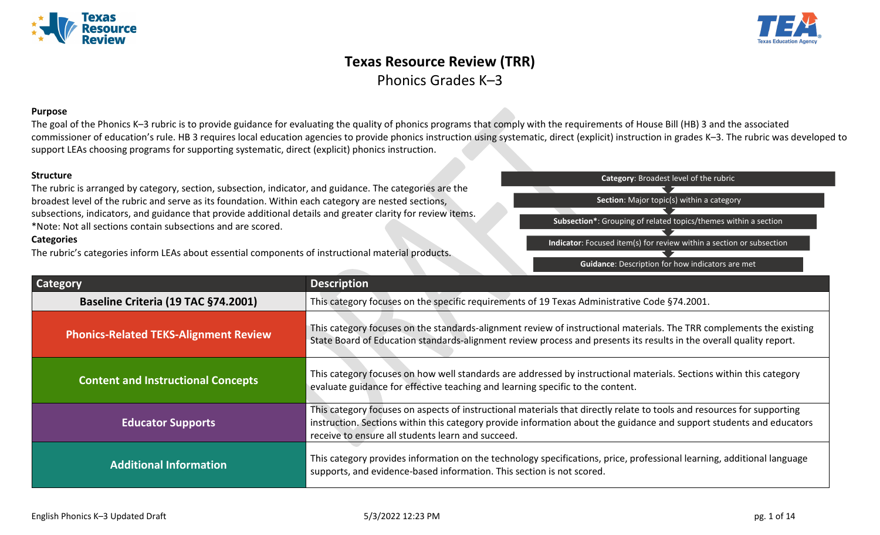



## **Texas Resource Review (TRR)** Phonics Grades K–3

#### **Purpose**

The goal of the Phonics K–3 rubric is to provide guidance for evaluating the quality of phonics programs that comply with the requirements of House Bill (HB) 3 and the associated commissioner of education's rule. HB 3 requires local education agencies to provide phonics instruction using systematic, direct (explicit) instruction in grades K-3. The rubric was developed to support LEAs choosing programs for supporting systematic, direct (explicit) phonics instruction.

#### **Structure**

The rubric is arranged by category, section, subsection, indicator, and guidance. The categories are the broadest level of the rubric and serve as its foundation. Within each category are nested sections, subsections, indicators, and guidance that provide additional details and greater clarity for review items. \*Note: Not all sections contain subsections and are scored.

#### **Categories**

The rubric's categories inform LEAs about essential components of instructional material products.



| <b>Category</b>                              | <b>Description</b>                                                                                                                                                                                                                                                                                  |
|----------------------------------------------|-----------------------------------------------------------------------------------------------------------------------------------------------------------------------------------------------------------------------------------------------------------------------------------------------------|
| Baseline Criteria (19 TAC §74.2001)          | This category focuses on the specific requirements of 19 Texas Administrative Code §74.2001.                                                                                                                                                                                                        |
| <b>Phonics-Related TEKS-Alignment Review</b> | This category focuses on the standards-alignment review of instructional materials. The TRR complements the existing<br>State Board of Education standards-alignment review process and presents its results in the overall quality report.                                                         |
| <b>Content and Instructional Concepts</b>    | This category focuses on how well standards are addressed by instructional materials. Sections within this category<br>evaluate guidance for effective teaching and learning specific to the content.                                                                                               |
| <b>Educator Supports</b>                     | This category focuses on aspects of instructional materials that directly relate to tools and resources for supporting<br>instruction. Sections within this category provide information about the guidance and support students and educators<br>receive to ensure all students learn and succeed. |
| <b>Additional Information</b>                | This category provides information on the technology specifications, price, professional learning, additional language<br>supports, and evidence-based information. This section is not scored.                                                                                                     |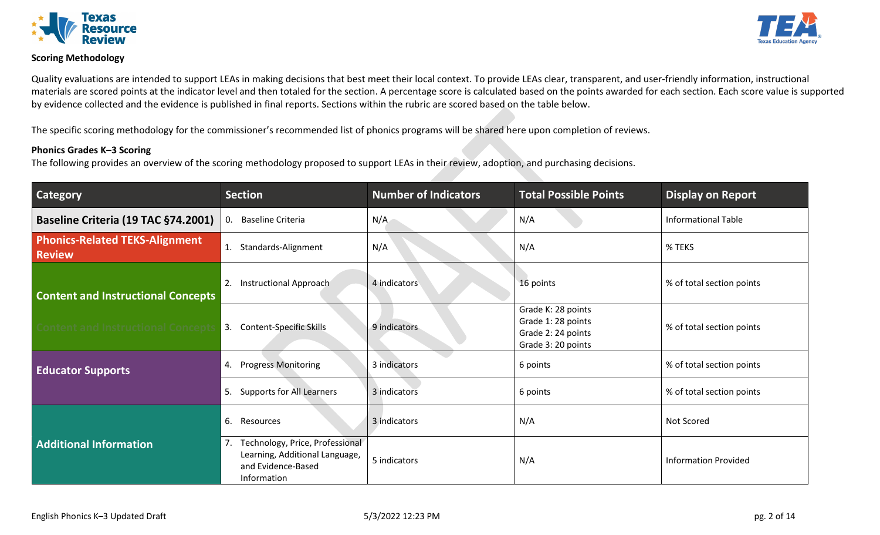

#### **Scoring Methodology**

Quality evaluations are intended to support LEAs in making decisions that best meet their local context. To provide LEAs clear, transparent, and user-friendly information, instructional materials are scored points at the indicator level and then totaled for the section. A percentage score is calculated based on the points awarded for each section. Each score value is supported by evidence collected and the evidence is published in final reports. Sections within the rubric are scored based on the table below.

The specific scoring methodology for the commissioner's recommended list of phonics programs will be shared here upon completion of reviews.

#### **Phonics Grades K–3 Scoring**

The following provides an overview of the scoring methodology proposed to support LEAs in their review, adoption, and purchasing decisions.

| Category                                               | <b>Section</b>                                                                                               | <b>Number of Indicators</b> | <b>Total Possible Points</b>                                                         | <b>Display on Report</b>    |
|--------------------------------------------------------|--------------------------------------------------------------------------------------------------------------|-----------------------------|--------------------------------------------------------------------------------------|-----------------------------|
| Baseline Criteria (19 TAC §74.2001)                    | <b>Baseline Criteria</b><br>0.                                                                               | N/A                         | N/A                                                                                  | <b>Informational Table</b>  |
| <b>Phonics-Related TEKS-Alignment</b><br><b>Review</b> | 1.<br>Standards-Alignment                                                                                    | N/A                         | N/A                                                                                  | % TEKS                      |
| <b>Content and Instructional Concepts</b>              | Instructional Approach<br>2.                                                                                 | 4 indicators                | 16 points                                                                            | % of total section points   |
| Content and Instructional Concepts                     | <b>Content-Specific Skills</b><br>3.                                                                         | 9 indicators                | Grade K: 28 points<br>Grade 1: 28 points<br>Grade 2: 24 points<br>Grade 3: 20 points | % of total section points   |
| <b>Educator Supports</b>                               | <b>Progress Monitoring</b><br>4.                                                                             | 3 indicators                | 6 points                                                                             | % of total section points   |
|                                                        | Supports for All Learners<br>5.                                                                              | 3 indicators                | 6 points                                                                             | % of total section points   |
|                                                        | 6.<br>Resources                                                                                              | 3 indicators                | N/A                                                                                  | Not Scored                  |
| <b>Additional Information</b>                          | Technology, Price, Professional<br>7.<br>Learning, Additional Language,<br>and Evidence-Based<br>Information | 5 indicators                | N/A                                                                                  | <b>Information Provided</b> |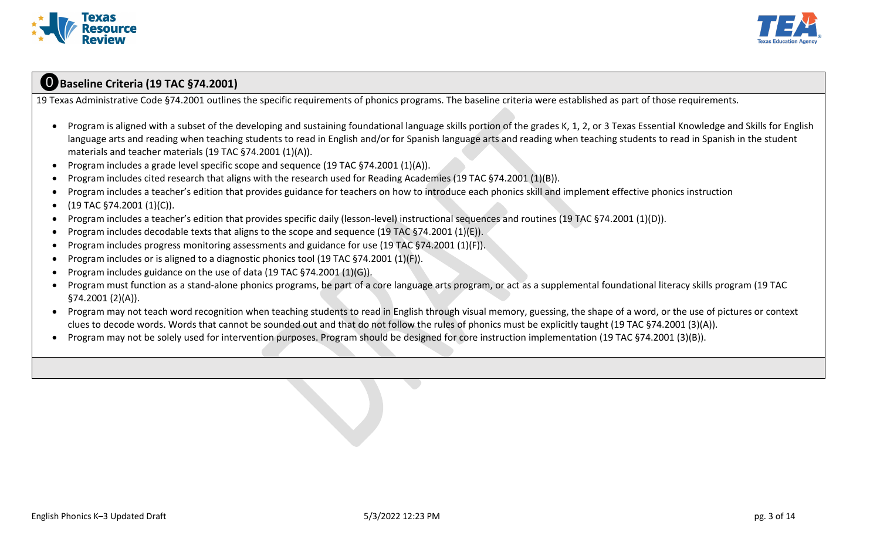



## ⓿**Baseline Criteria (19 TAC §74.2001)**

19 Texas Administrative Code §74.2001 outlines the specific requirements of phonics programs. The baseline criteria were established as part of those requirements.

- Program is aligned with a subset of the developing and sustaining foundational language skills portion of the grades K, 1, 2, or 3 Texas Essential Knowledge and Skills for English language arts and reading when teaching students to read in English and/or for Spanish language arts and reading when teaching students to read in Spanish in the student materials and teacher materials (19 TAC §74.2001 (1)(A)).
- Program includes a grade level specific scope and sequence (19 TAC §74.2001 (1)(A)).
- Program includes cited research that aligns with the research used for Reading Academies (19 TAC §74.2001 (1)(B)).
- Program includes a teacher's edition that provides guidance for teachers on how to introduce each phonics skill and implement effective phonics instruction

## $\bullet$  (19 TAC §74.2001 (1)(C)).

- Program includes a teacher's edition that provides specific daily (lesson-level) instructional sequences and routines (19 TAC §74.2001 (1)(D)).
- Program includes decodable texts that aligns to the scope and sequence (19 TAC §74.2001 (1)(E)).
- Program includes progress monitoring assessments and guidance for use (19 TAC §74.2001 (1)(F)).
- Program includes or is aligned to a diagnostic phonics tool (19 TAC  $\S$ 74.2001 (1)( $\overline{F}$ )).
- Program includes guidance on the use of data (19 TAC §74.2001 (1)(G)).
- Program must function as a stand-alone phonics programs, be part of a core language arts program, or act as a supplemental foundational literacy skills program (19 TAC §74.2001 (2)(A)).
- Program may not teach word recognition when teaching students to read in English through visual memory, guessing, the shape of a word, or the use of pictures or context clues to decode words. Words that cannot be sounded out and that do not follow the rules of phonics must be explicitly taught (19 TAC §74.2001 (3)(A)).
- Program may not be solely used for intervention purposes. Program should be designed for core instruction implementation (19 TAC §74.2001 (3)(B)).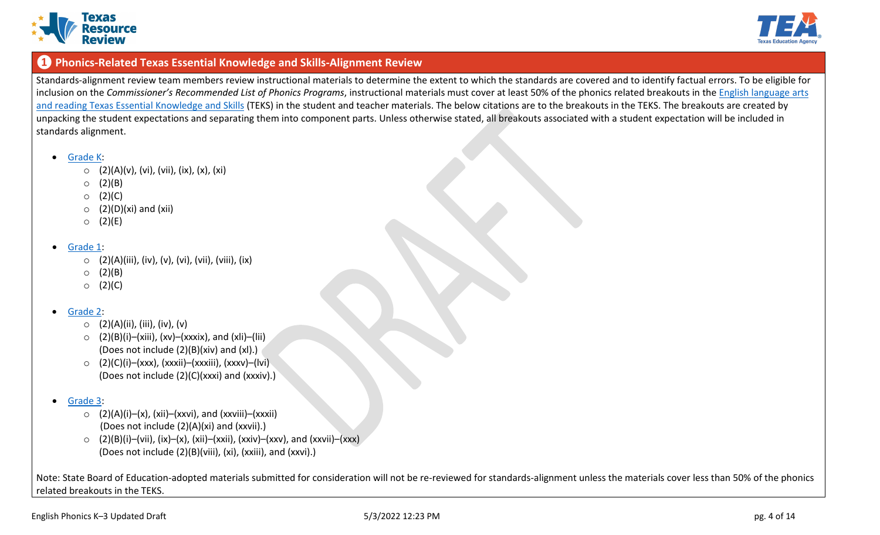



## **❶ Phonics-Related Texas Essential Knowledge and Skills-Alignment Review**

Standards-alignment review team members review instructional materials to determine the extent to which the standards are covered and to identify factual errors. To be eligible for inclusion on the *Commissioner's Recommended List of Phonics Programs*, instructional materials must cover at least 50% of the phonics related breakouts in the [English language](https://tea.texas.gov/academics/instructional-materials/review-and-adoption-process/review-and-adoption-breakout-documents) arts and reading [Texas Essential Knowledge and Skills](https://tea.texas.gov/academics/instructional-materials/review-and-adoption-process/review-and-adoption-breakout-documents) (TEKS) in the student and teacher materials. The below citations are to the breakouts in the TEKS. The breakouts are created by unpacking the student expectations and separating them into component parts. Unless otherwise stated, all breakouts associated with a student expectation will be included in standards alignment.

- [Grade K:](https://tea.texas.gov/sites/default/files/P2019_Breakout_ELAR%20Grade%20K_Final.pdf)
	- $\circ$  (2)(A)(v), (vi), (vii), (ix), (x), (xi)
	- $O(2)(B)$
	- $O (2)(C)$
	- $\circ$  (2)(D)(xi) and (xii)
	- $O(2)(E)$
- [Grade 1:](https://tea.texas.gov/sites/default/files/P2019_Breakout_ELAR%20Grade%201_Revised%201-12-18.pdf)
	- $\circ$  (2)(A)(iii), (iv), (v), (vi), (vii), (viii), (ix)
	- $O (2)(B)$
	- $O (2)(C)$

## • [Grade 2:](https://tea.texas.gov/sites/default/files/P2019_Breakout_ELAR%20Grade%202_Revised%201-12-2018.pdf)

- $\circ$  (2)(A)(ii), (iii), (iv), (v)
- $\circ$  (2)(B)(i)–(xiii), (xv)–(xxxix), and (xli)–(lii) (Does not include (2)(B)(xiv) and (xl).)
- o (2)(C)(i)–(xxx), (xxxii)–(xxxiii), (xxxv)–(lvi) (Does not include (2)(C)(xxxi) and (xxxiv).)
- [Grade 3:](https://tea.texas.gov/sites/default/files/P2019_Breakout_ELAR%20Grade%203_Revised%203-22-18.pdf)
	- $\circ$  (2)(A)(i)–(x), (xii)–(xxvi), and (xxviii)–(xxxii) (Does not include (2)(A)(xi) and (xxvii).)
	- $\circ$  (2)(B)(i)–(vii), (ix)–(x), (xii)–(xxii), (xxiv)–(xxv), and (xxvii)–(xxx) (Does not include (2)(B)(viii), (xi), (xxiii), and (xxvi).)

Note: State Board of Education-adopted materials submitted for consideration will not be re-reviewed for standards-alignment unless the materials cover less than 50% of the phonics related breakouts in the TEKS.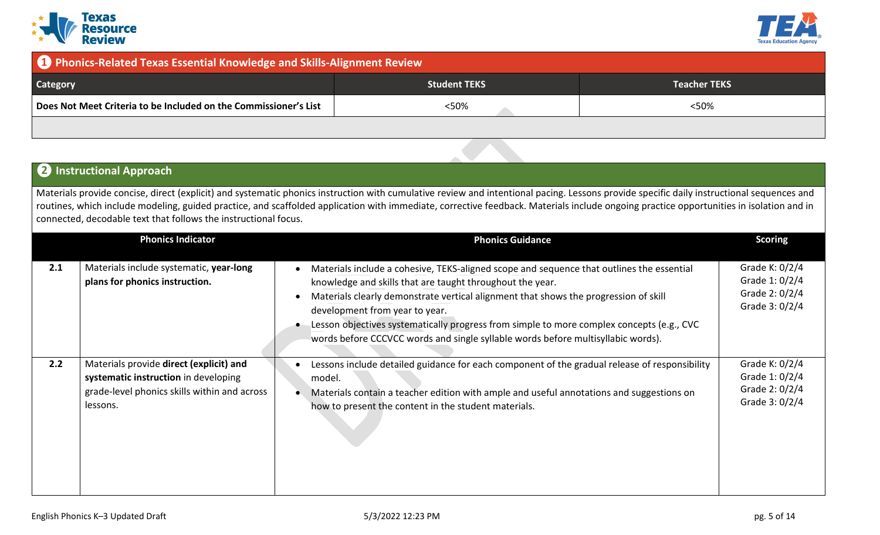



## **❶ Phonics-Related Texas Essential Knowledge and Skills-Alignment Review**

| <b>Category</b>                                                  | <b>Student TEKS</b> | Teacher TEKS |
|------------------------------------------------------------------|---------------------|--------------|
| Does Not Meet Criteria to be Included on the Commissioner's List | <50%                | <50%         |
|                                                                  |                     |              |

## **❷ Instructional Approach**

Materials provide concise, direct (explicit) and systematic phonics instruction with cumulative review and intentional pacing. Lessons provide specific daily instructional sequences and routines, which include modeling, guided practice, and scaffolded application with immediate, corrective feedback. Materials include ongoing practice opportunities in isolation and in connected, decodable text that follows the instructional focus.

|     | <b>Phonics Indicator</b>                                                                                                                    | <b>Phonics Guidance</b>                                                                                                                                                                                                                                                                                                                                                                                                                                           | <b>Scoring</b>                                                       |
|-----|---------------------------------------------------------------------------------------------------------------------------------------------|-------------------------------------------------------------------------------------------------------------------------------------------------------------------------------------------------------------------------------------------------------------------------------------------------------------------------------------------------------------------------------------------------------------------------------------------------------------------|----------------------------------------------------------------------|
| 2.1 | Materials include systematic, year-long<br>plans for phonics instruction.                                                                   | Materials include a cohesive, TEKS-aligned scope and sequence that outlines the essential<br>knowledge and skills that are taught throughout the year.<br>Materials clearly demonstrate vertical alignment that shows the progression of skill<br>development from year to year.<br>Lesson objectives systematically progress from simple to more complex concepts (e.g., CVC<br>words before CCCVCC words and single syllable words before multisyllabic words). | Grade K: 0/2/4<br>Grade 1: 0/2/4<br>Grade 2: 0/2/4<br>Grade 3: 0/2/4 |
| 2.2 | Materials provide direct (explicit) and<br>systematic instruction in developing<br>grade-level phonics skills within and across<br>lessons. | Lessons include detailed guidance for each component of the gradual release of responsibility<br>model.<br>Materials contain a teacher edition with ample and useful annotations and suggestions on<br>how to present the content in the student materials.                                                                                                                                                                                                       | Grade K: 0/2/4<br>Grade 1: 0/2/4<br>Grade 2: 0/2/4<br>Grade 3: 0/2/4 |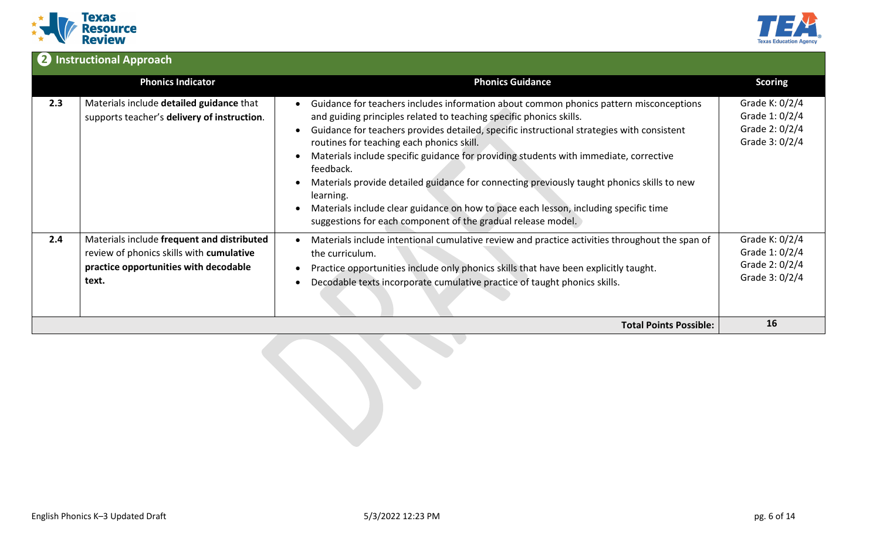



# **❷ Instructional Approach**

|     | <b>Phonics Indicator</b>                                                                                                                 | <b>Phonics Guidance</b>                                                                                                                                                                                                                                                                                                                                                                                                                                                                                                                                                                                                                                                                        | <b>Scoring</b>                                                       |
|-----|------------------------------------------------------------------------------------------------------------------------------------------|------------------------------------------------------------------------------------------------------------------------------------------------------------------------------------------------------------------------------------------------------------------------------------------------------------------------------------------------------------------------------------------------------------------------------------------------------------------------------------------------------------------------------------------------------------------------------------------------------------------------------------------------------------------------------------------------|----------------------------------------------------------------------|
| 2.3 | Materials include detailed guidance that<br>supports teacher's delivery of instruction.                                                  | Guidance for teachers includes information about common phonics pattern misconceptions<br>and guiding principles related to teaching specific phonics skills.<br>Guidance for teachers provides detailed, specific instructional strategies with consistent<br>$\bullet$<br>routines for teaching each phonics skill.<br>Materials include specific guidance for providing students with immediate, corrective<br>feedback.<br>Materials provide detailed guidance for connecting previously taught phonics skills to new<br>learning.<br>Materials include clear guidance on how to pace each lesson, including specific time<br>suggestions for each component of the gradual release model. | Grade K: 0/2/4<br>Grade 1: 0/2/4<br>Grade 2: 0/2/4<br>Grade 3: 0/2/4 |
| 2.4 | Materials include frequent and distributed<br>review of phonics skills with cumulative<br>practice opportunities with decodable<br>text. | Materials include intentional cumulative review and practice activities throughout the span of<br>the curriculum.<br>Practice opportunities include only phonics skills that have been explicitly taught.<br>Decodable texts incorporate cumulative practice of taught phonics skills.                                                                                                                                                                                                                                                                                                                                                                                                         | Grade K: 0/2/4<br>Grade 1: 0/2/4<br>Grade 2: 0/2/4<br>Grade 3: 0/2/4 |
|     |                                                                                                                                          | <b>Total Points Possible:</b>                                                                                                                                                                                                                                                                                                                                                                                                                                                                                                                                                                                                                                                                  | 16                                                                   |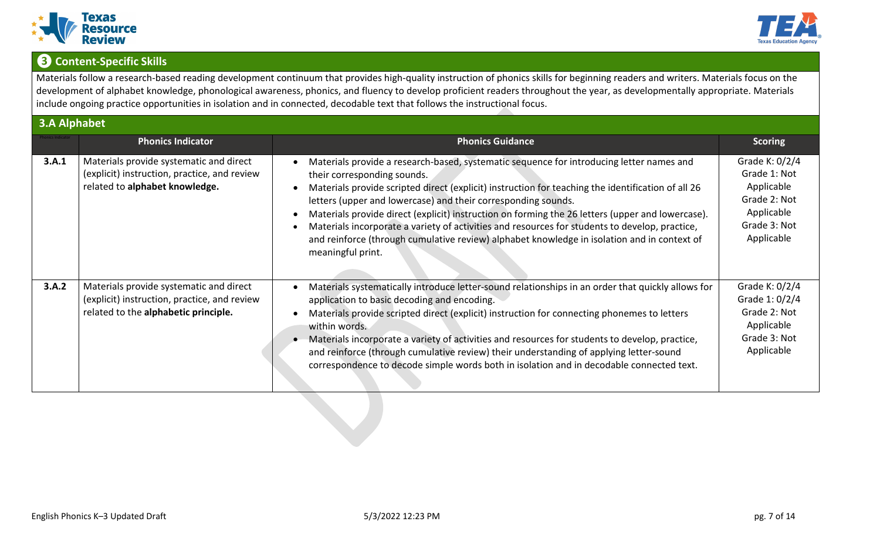



# **❸Content-Specific Skills**

Materials follow a research-based reading development continuum that provides high-quality instruction of phonics skills for beginning readers and writers. Materials focus on the development of alphabet knowledge, phonological awareness, phonics, and fluency to develop proficient readers throughout the year, as developmentally appropriate. Materials include ongoing practice opportunities in isolation and in connected, decodable text that follows the instructional focus.

|       | <b>3.A Alphabet</b>                                                                                                             |                                                                                                                                                                                                                                                                                                                                                                                                                                                                                                                                                                                                                          |                                                                                                          |  |
|-------|---------------------------------------------------------------------------------------------------------------------------------|--------------------------------------------------------------------------------------------------------------------------------------------------------------------------------------------------------------------------------------------------------------------------------------------------------------------------------------------------------------------------------------------------------------------------------------------------------------------------------------------------------------------------------------------------------------------------------------------------------------------------|----------------------------------------------------------------------------------------------------------|--|
|       | <b>Phonics Indicator</b>                                                                                                        | <b>Phonics Guidance</b>                                                                                                                                                                                                                                                                                                                                                                                                                                                                                                                                                                                                  | <b>Scoring</b>                                                                                           |  |
| 3.A.1 | Materials provide systematic and direct<br>(explicit) instruction, practice, and review<br>related to alphabet knowledge.       | Materials provide a research-based, systematic sequence for introducing letter names and<br>their corresponding sounds.<br>Materials provide scripted direct (explicit) instruction for teaching the identification of all 26<br>letters (upper and lowercase) and their corresponding sounds.<br>Materials provide direct (explicit) instruction on forming the 26 letters (upper and lowercase).<br>Materials incorporate a variety of activities and resources for students to develop, practice,<br>and reinforce (through cumulative review) alphabet knowledge in isolation and in context of<br>meaningful print. | Grade K: 0/2/4<br>Grade 1: Not<br>Applicable<br>Grade 2: Not<br>Applicable<br>Grade 3: Not<br>Applicable |  |
| 3.A.2 | Materials provide systematic and direct<br>(explicit) instruction, practice, and review<br>related to the alphabetic principle. | Materials systematically introduce letter-sound relationships in an order that quickly allows for<br>application to basic decoding and encoding.<br>Materials provide scripted direct (explicit) instruction for connecting phonemes to letters<br>within words.<br>Materials incorporate a variety of activities and resources for students to develop, practice,<br>and reinforce (through cumulative review) their understanding of applying letter-sound<br>correspondence to decode simple words both in isolation and in decodable connected text.                                                                 | Grade K: 0/2/4<br>Grade 1: 0/2/4<br>Grade 2: Not<br>Applicable<br>Grade 3: Not<br>Applicable             |  |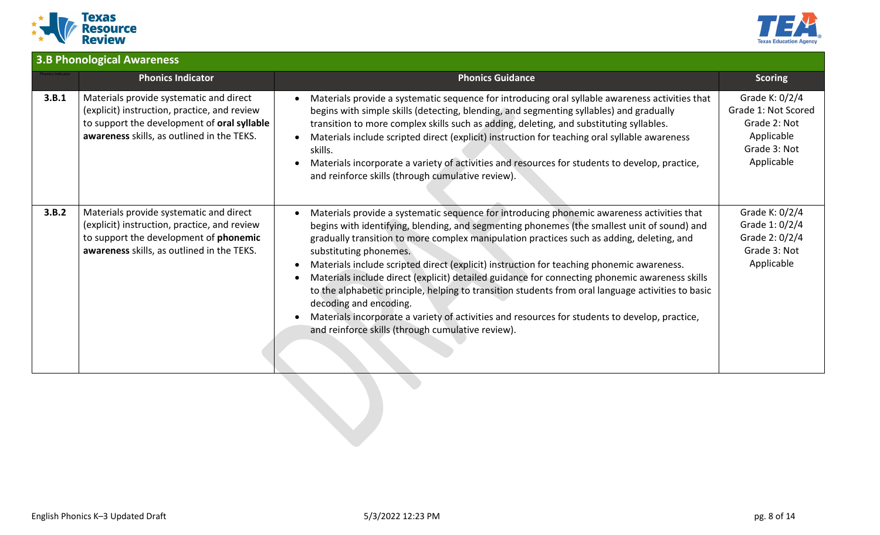



|       | <b>3.B Phonological Awareness</b>                                                                                                                                                      |                                                                                                                                                                                                                                                                                                                                                                                                                                                                                                                                                                                                                                                                                                                                                                                                        |                                                                                                   |  |
|-------|----------------------------------------------------------------------------------------------------------------------------------------------------------------------------------------|--------------------------------------------------------------------------------------------------------------------------------------------------------------------------------------------------------------------------------------------------------------------------------------------------------------------------------------------------------------------------------------------------------------------------------------------------------------------------------------------------------------------------------------------------------------------------------------------------------------------------------------------------------------------------------------------------------------------------------------------------------------------------------------------------------|---------------------------------------------------------------------------------------------------|--|
|       | <b>Phonics Indicator</b>                                                                                                                                                               | <b>Phonics Guidance</b>                                                                                                                                                                                                                                                                                                                                                                                                                                                                                                                                                                                                                                                                                                                                                                                | <b>Scoring</b>                                                                                    |  |
| 3.B.1 | Materials provide systematic and direct<br>(explicit) instruction, practice, and review<br>to support the development of oral syllable<br>awareness skills, as outlined in the TEKS.   | Materials provide a systematic sequence for introducing oral syllable awareness activities that<br>begins with simple skills (detecting, blending, and segmenting syllables) and gradually<br>transition to more complex skills such as adding, deleting, and substituting syllables.<br>Materials include scripted direct (explicit) instruction for teaching oral syllable awareness<br>skills.<br>Materials incorporate a variety of activities and resources for students to develop, practice,<br>and reinforce skills (through cumulative review).                                                                                                                                                                                                                                               | Grade K: 0/2/4<br>Grade 1: Not Scored<br>Grade 2: Not<br>Applicable<br>Grade 3: Not<br>Applicable |  |
| 3.B.2 | Materials provide systematic and direct<br>(explicit) instruction, practice, and review<br>to support the development of <b>phonemic</b><br>awareness skills, as outlined in the TEKS. | Materials provide a systematic sequence for introducing phonemic awareness activities that<br>begins with identifying, blending, and segmenting phonemes (the smallest unit of sound) and<br>gradually transition to more complex manipulation practices such as adding, deleting, and<br>substituting phonemes.<br>Materials include scripted direct (explicit) instruction for teaching phonemic awareness.<br>Materials include direct (explicit) detailed guidance for connecting phonemic awareness skills<br>to the alphabetic principle, helping to transition students from oral language activities to basic<br>decoding and encoding.<br>Materials incorporate a variety of activities and resources for students to develop, practice,<br>and reinforce skills (through cumulative review). | Grade K: 0/2/4<br>Grade 1: 0/2/4<br>Grade 2: 0/2/4<br>Grade 3: Not<br>Applicable                  |  |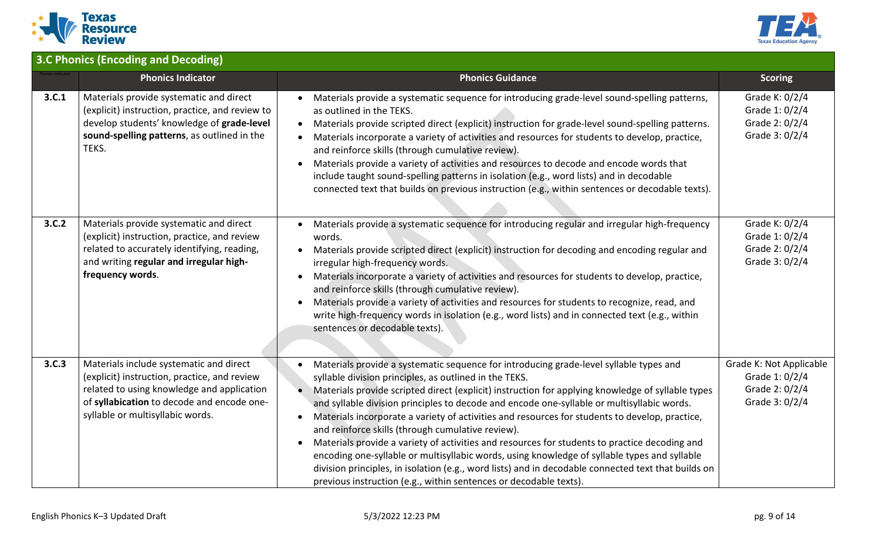



|       | <b>3.C Phonics (Encoding and Decoding)</b>                                                                                                                                                                              |                                                                                                                                                                                                                                                                                                                                                                                                                                                                                                                                                                                                                                                                                                                                                                                                                                                                                         |                                                                               |  |
|-------|-------------------------------------------------------------------------------------------------------------------------------------------------------------------------------------------------------------------------|-----------------------------------------------------------------------------------------------------------------------------------------------------------------------------------------------------------------------------------------------------------------------------------------------------------------------------------------------------------------------------------------------------------------------------------------------------------------------------------------------------------------------------------------------------------------------------------------------------------------------------------------------------------------------------------------------------------------------------------------------------------------------------------------------------------------------------------------------------------------------------------------|-------------------------------------------------------------------------------|--|
|       | <b>Phonics Indicator</b>                                                                                                                                                                                                | <b>Phonics Guidance</b>                                                                                                                                                                                                                                                                                                                                                                                                                                                                                                                                                                                                                                                                                                                                                                                                                                                                 | <b>Scoring</b>                                                                |  |
| 3.C.1 | Materials provide systematic and direct<br>(explicit) instruction, practice, and review to<br>develop students' knowledge of grade-level<br>sound-spelling patterns, as outlined in the<br>TEKS.                        | Materials provide a systematic sequence for introducing grade-level sound-spelling patterns,<br>as outlined in the TEKS.<br>Materials provide scripted direct (explicit) instruction for grade-level sound-spelling patterns.<br>$\bullet$<br>Materials incorporate a variety of activities and resources for students to develop, practice,<br>and reinforce skills (through cumulative review).<br>Materials provide a variety of activities and resources to decode and encode words that<br>$\bullet$<br>include taught sound-spelling patterns in isolation (e.g., word lists) and in decodable<br>connected text that builds on previous instruction (e.g., within sentences or decodable texts).                                                                                                                                                                                 | Grade K: 0/2/4<br>Grade 1: 0/2/4<br>Grade 2: 0/2/4<br>Grade 3: 0/2/4          |  |
| 3.C.2 | Materials provide systematic and direct<br>(explicit) instruction, practice, and review<br>related to accurately identifying, reading,<br>and writing regular and irregular high-<br>frequency words.                   | Materials provide a systematic sequence for introducing regular and irregular high-frequency<br>words.<br>Materials provide scripted direct (explicit) instruction for decoding and encoding regular and<br>irregular high-frequency words.<br>Materials incorporate a variety of activities and resources for students to develop, practice,<br>$\bullet$<br>and reinforce skills (through cumulative review).<br>Materials provide a variety of activities and resources for students to recognize, read, and<br>$\bullet$<br>write high-frequency words in isolation (e.g., word lists) and in connected text (e.g., within<br>sentences or decodable texts).                                                                                                                                                                                                                        | Grade K: 0/2/4<br>Grade 1: 0/2/4<br>Grade 2: 0/2/4<br>Grade 3: 0/2/4          |  |
| 3.C.3 | Materials include systematic and direct<br>(explicit) instruction, practice, and review<br>related to using knowledge and application<br>of syllabication to decode and encode one-<br>syllable or multisyllabic words. | Materials provide a systematic sequence for introducing grade-level syllable types and<br>syllable division principles, as outlined in the TEKS.<br>Materials provide scripted direct (explicit) instruction for applying knowledge of syllable types<br>and syllable division principles to decode and encode one-syllable or multisyllabic words.<br>Materials incorporate a variety of activities and resources for students to develop, practice,<br>and reinforce skills (through cumulative review).<br>Materials provide a variety of activities and resources for students to practice decoding and<br>encoding one-syllable or multisyllabic words, using knowledge of syllable types and syllable<br>division principles, in isolation (e.g., word lists) and in decodable connected text that builds on<br>previous instruction (e.g., within sentences or decodable texts). | Grade K: Not Applicable<br>Grade 1: 0/2/4<br>Grade 2: 0/2/4<br>Grade 3: 0/2/4 |  |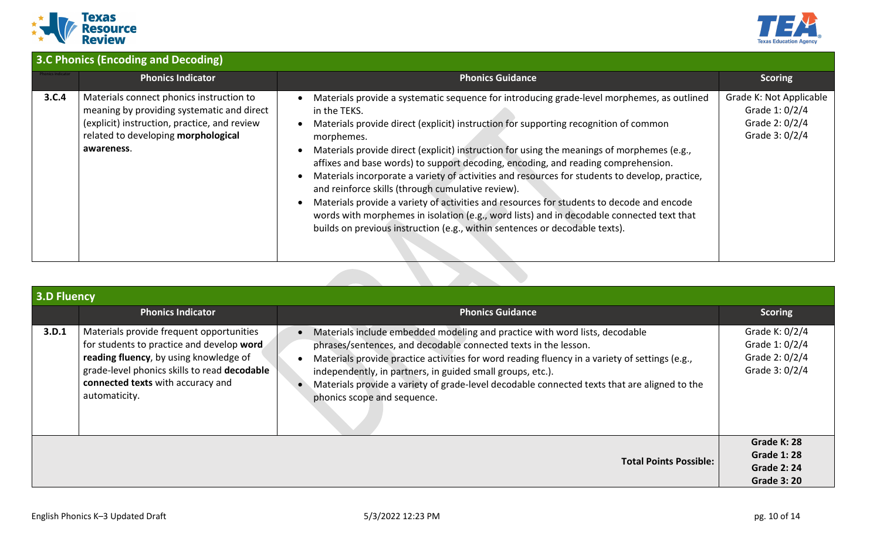



|       | <b>3.C Phonics (Encoding and Decoding)</b>                                                                                                                                                  |                                                                                                                                                                                                                                                                                                                                                                                                                                                                                                                                                                                                                                                                                                                                                                                                                                     |                                                                               |  |
|-------|---------------------------------------------------------------------------------------------------------------------------------------------------------------------------------------------|-------------------------------------------------------------------------------------------------------------------------------------------------------------------------------------------------------------------------------------------------------------------------------------------------------------------------------------------------------------------------------------------------------------------------------------------------------------------------------------------------------------------------------------------------------------------------------------------------------------------------------------------------------------------------------------------------------------------------------------------------------------------------------------------------------------------------------------|-------------------------------------------------------------------------------|--|
|       | <b>Phonics Indicator</b>                                                                                                                                                                    | <b>Phonics Guidance</b>                                                                                                                                                                                                                                                                                                                                                                                                                                                                                                                                                                                                                                                                                                                                                                                                             | <b>Scoring</b>                                                                |  |
| 3.C.4 | Materials connect phonics instruction to<br>meaning by providing systematic and direct<br>(explicit) instruction, practice, and review<br>related to developing morphological<br>awareness. | Materials provide a systematic sequence for introducing grade-level morphemes, as outlined<br>in the TEKS.<br>Materials provide direct (explicit) instruction for supporting recognition of common<br>morphemes.<br>Materials provide direct (explicit) instruction for using the meanings of morphemes (e.g.,<br>affixes and base words) to support decoding, encoding, and reading comprehension.<br>Materials incorporate a variety of activities and resources for students to develop, practice,<br>and reinforce skills (through cumulative review).<br>Materials provide a variety of activities and resources for students to decode and encode<br>words with morphemes in isolation (e.g., word lists) and in decodable connected text that<br>builds on previous instruction (e.g., within sentences or decodable texts). | Grade K: Not Applicable<br>Grade 1: 0/2/4<br>Grade 2: 0/2/4<br>Grade 3: 0/2/4 |  |

| <b>3.D Fluency</b> |                                                                                                                                                                                                                                       |                                                                                                                                                                                                                                                                                                                                                                                                                                               |                                                                            |
|--------------------|---------------------------------------------------------------------------------------------------------------------------------------------------------------------------------------------------------------------------------------|-----------------------------------------------------------------------------------------------------------------------------------------------------------------------------------------------------------------------------------------------------------------------------------------------------------------------------------------------------------------------------------------------------------------------------------------------|----------------------------------------------------------------------------|
|                    | <b>Phonics Indicator</b>                                                                                                                                                                                                              | <b>Phonics Guidance</b>                                                                                                                                                                                                                                                                                                                                                                                                                       | <b>Scoring</b>                                                             |
| 3.D.1              | Materials provide frequent opportunities<br>for students to practice and develop word<br>reading fluency, by using knowledge of<br>grade-level phonics skills to read decodable<br>connected texts with accuracy and<br>automaticity. | Materials include embedded modeling and practice with word lists, decodable<br>phrases/sentences, and decodable connected texts in the lesson.<br>Materials provide practice activities for word reading fluency in a variety of settings (e.g.,<br>independently, in partners, in guided small groups, etc.).<br>Materials provide a variety of grade-level decodable connected texts that are aligned to the<br>phonics scope and sequence. | Grade K: 0/2/4<br>Grade 1: 0/2/4<br>Grade 2: 0/2/4<br>Grade 3: 0/2/4       |
|                    |                                                                                                                                                                                                                                       | <b>Total Points Possible:</b>                                                                                                                                                                                                                                                                                                                                                                                                                 | Grade K: 28<br><b>Grade 1:28</b><br><b>Grade 2:24</b><br><b>Grade 3:20</b> |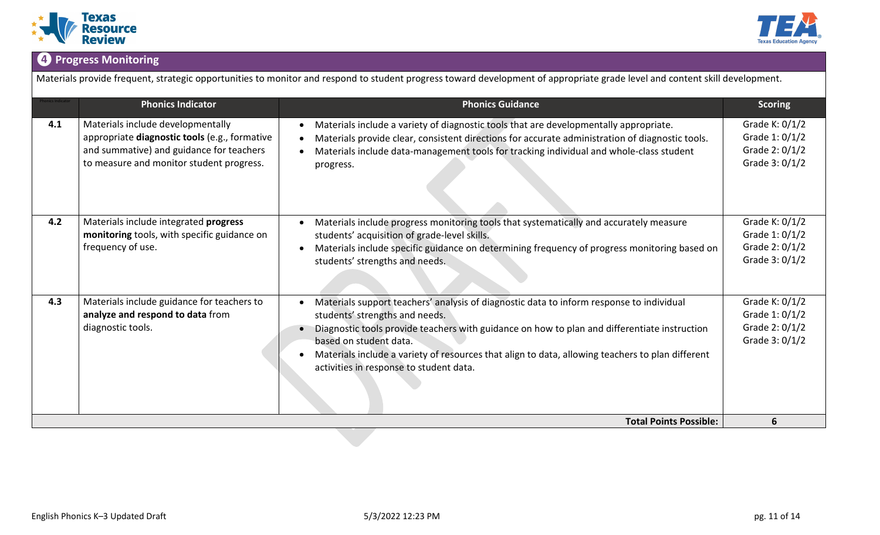



# **❹Progress Monitoring**

Materials provide frequent, strategic opportunities to monitor and respond to student progress toward development of appropriate grade level and content skill development.

|     | <b>Phonics Indicator</b>                                                                                                                                                   | <b>Phonics Guidance</b>                                                                                                                                                                                                                                                                                                                                                                                          | <b>Scoring</b>                                                       |
|-----|----------------------------------------------------------------------------------------------------------------------------------------------------------------------------|------------------------------------------------------------------------------------------------------------------------------------------------------------------------------------------------------------------------------------------------------------------------------------------------------------------------------------------------------------------------------------------------------------------|----------------------------------------------------------------------|
| 4.1 | Materials include developmentally<br>appropriate diagnostic tools (e.g., formative<br>and summative) and guidance for teachers<br>to measure and monitor student progress. | Materials include a variety of diagnostic tools that are developmentally appropriate.<br>$\bullet$<br>Materials provide clear, consistent directions for accurate administration of diagnostic tools.<br>Materials include data-management tools for tracking individual and whole-class student<br>progress.                                                                                                    | Grade K: 0/1/2<br>Grade 1: 0/1/2<br>Grade 2: 0/1/2<br>Grade 3: 0/1/2 |
| 4.2 | Materials include integrated progress<br>monitoring tools, with specific guidance on<br>frequency of use.                                                                  | Materials include progress monitoring tools that systematically and accurately measure<br>students' acquisition of grade-level skills.<br>Materials include specific guidance on determining frequency of progress monitoring based on<br>$\bullet$<br>students' strengths and needs.                                                                                                                            | Grade K: 0/1/2<br>Grade 1: 0/1/2<br>Grade 2: 0/1/2<br>Grade 3: 0/1/2 |
| 4.3 | Materials include guidance for teachers to<br>analyze and respond to data from<br>diagnostic tools.                                                                        | Materials support teachers' analysis of diagnostic data to inform response to individual<br>$\bullet$<br>students' strengths and needs.<br>Diagnostic tools provide teachers with guidance on how to plan and differentiate instruction<br>based on student data.<br>Materials include a variety of resources that align to data, allowing teachers to plan different<br>activities in response to student data. | Grade K: 0/1/2<br>Grade 1: 0/1/2<br>Grade 2: 0/1/2<br>Grade 3: 0/1/2 |
|     |                                                                                                                                                                            | <b>Total Points Possible:</b>                                                                                                                                                                                                                                                                                                                                                                                    | 6                                                                    |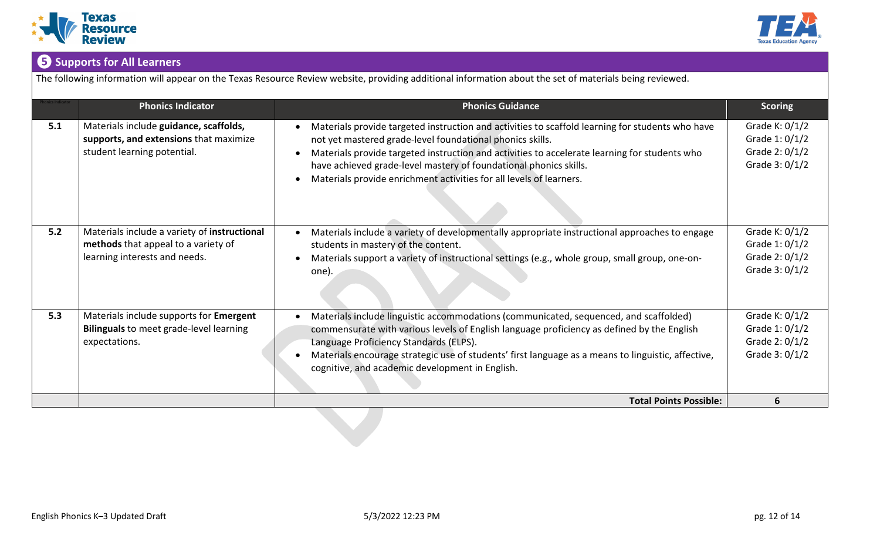



# **❺Supports for All Learners**

The following information will appear on the Texas Resource Review website, providing additional information about the set of materials being reviewed.

|     | <b>Phonics Indicator</b>                                                                                             | <b>Phonics Guidance</b>                                                                                                                                                                                                                                                                                                                                                                                    | <b>Scoring</b>                                                          |
|-----|----------------------------------------------------------------------------------------------------------------------|------------------------------------------------------------------------------------------------------------------------------------------------------------------------------------------------------------------------------------------------------------------------------------------------------------------------------------------------------------------------------------------------------------|-------------------------------------------------------------------------|
| 5.1 | Materials include guidance, scaffolds,<br>supports, and extensions that maximize<br>student learning potential.      | Materials provide targeted instruction and activities to scaffold learning for students who have<br>not yet mastered grade-level foundational phonics skills.<br>Materials provide targeted instruction and activities to accelerate learning for students who<br>have achieved grade-level mastery of foundational phonics skills.<br>Materials provide enrichment activities for all levels of learners. | Grade K: $0/1/2$<br>Grade 1: 0/1/2<br>Grade 2: 0/1/2<br>Grade $3:0/1/2$ |
| 5.2 | Materials include a variety of instructional<br>methods that appeal to a variety of<br>learning interests and needs. | Materials include a variety of developmentally appropriate instructional approaches to engage<br>students in mastery of the content.<br>Materials support a variety of instructional settings (e.g., whole group, small group, one-on-<br>one).                                                                                                                                                            | Grade K: $0/1/2$<br>Grade 1: 0/1/2<br>Grade 2: 0/1/2<br>Grade 3: 0/1/2  |
| 5.3 | Materials include supports for Emergent<br><b>Bilinguals</b> to meet grade-level learning<br>expectations.           | Materials include linguistic accommodations (communicated, sequenced, and scaffolded)<br>commensurate with various levels of English language proficiency as defined by the English<br>Language Proficiency Standards (ELPS).<br>Materials encourage strategic use of students' first language as a means to linguistic, affective,<br>cognitive, and academic development in English.                     | Grade K: 0/1/2<br>Grade 1: 0/1/2<br>Grade 2: 0/1/2<br>Grade 3: 0/1/2    |
|     |                                                                                                                      | <b>Total Points Possible:</b>                                                                                                                                                                                                                                                                                                                                                                              | 6                                                                       |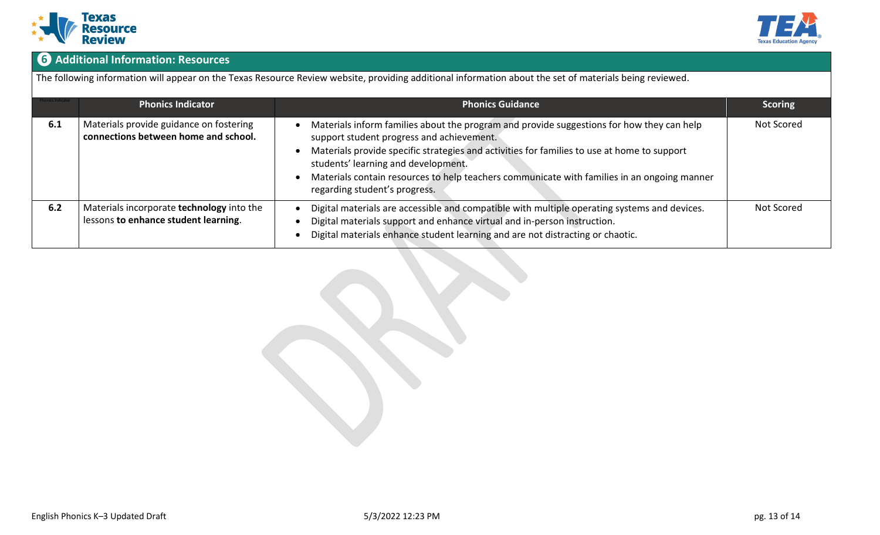



# **❻Additional Information: Resources**

The following information will appear on the Texas Resource Review website, providing additional information about the set of materials being reviewed.

|     | <b>Phonics Indicator</b>                                                          | <b>Phonics Guidance</b>                                                                                                                                                                                                                                                                                                                                                                                      | <b>Scoring</b> |
|-----|-----------------------------------------------------------------------------------|--------------------------------------------------------------------------------------------------------------------------------------------------------------------------------------------------------------------------------------------------------------------------------------------------------------------------------------------------------------------------------------------------------------|----------------|
| 6.1 | Materials provide guidance on fostering<br>connections between home and school.   | Materials inform families about the program and provide suggestions for how they can help<br>support student progress and achievement.<br>Materials provide specific strategies and activities for families to use at home to support<br>students' learning and development.<br>Materials contain resources to help teachers communicate with families in an ongoing manner<br>regarding student's progress. | Not Scored     |
| 6.2 | Materials incorporate technology into the<br>lessons to enhance student learning. | Digital materials are accessible and compatible with multiple operating systems and devices.<br>Digital materials support and enhance virtual and in-person instruction.<br>Digital materials enhance student learning and are not distracting or chaotic.                                                                                                                                                   | Not Scored     |